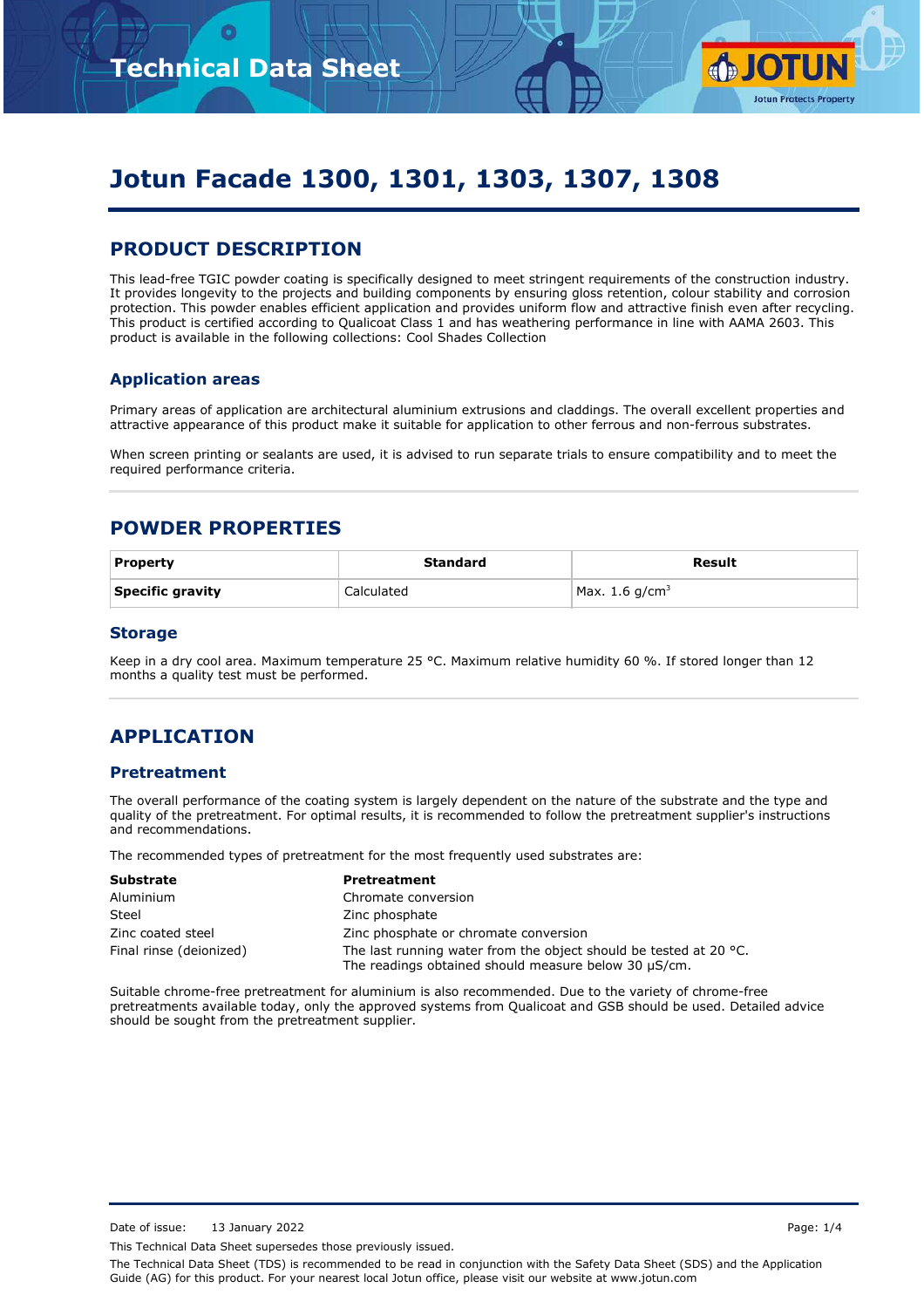

# **Jotun Facade 1300, 1301, 1303, 1307, 1308**

### **PRODUCT DESCRIPTION**

This lead-free TGIC powder coating is specifically designed to meet stringent requirements of the construction industry. It provides longevity to the projects and building components by ensuring gloss retention, colour stability and corrosion protection. This powder enables efficient application and provides uniform flow and attractive finish even after recycling. This product is certified according to Qualicoat Class 1 and has weathering performance in line with AAMA 2603. This product is available in the following collections: Cool Shades Collection

#### **Application areas**

Primary areas of application are architectural aluminium extrusions and claddings. The overall excellent properties and attractive appearance of this product make it suitable for application to other ferrous and non-ferrous substrates.

When screen printing or sealants are used, it is advised to run separate trials to ensure compatibility and to meet the required performance criteria.

### **POWDER PROPERTIES**

| <b>Property</b>  | Standard   | Result           |
|------------------|------------|------------------|
| Specific gravity | Calculated | Max. 1.6 $q/cm3$ |

#### **Storage**

Keep in a dry cool area. Maximum temperature 25 °C. Maximum relative humidity 60 %. If stored longer than 12 months a quality test must be performed.

### **APPLICATION**

#### **Pretreatment**

The overall performance of the coating system is largely dependent on the nature of the substrate and the type and quality of the pretreatment. For optimal results, it is recommended to follow the pretreatment supplier's instructions and recommendations.

The recommended types of pretreatment for the most frequently used substrates are:

| <b>Substrate</b>        | <b>Pretreatment</b>                                                                                                                 |  |
|-------------------------|-------------------------------------------------------------------------------------------------------------------------------------|--|
| Aluminium               | Chromate conversion                                                                                                                 |  |
| Steel                   | Zinc phosphate                                                                                                                      |  |
| Zinc coated steel       | Zinc phosphate or chromate conversion                                                                                               |  |
| Final rinse (deionized) | The last running water from the object should be tested at 20 $^{\circ}$ C.<br>The readings obtained should measure below 30 µS/cm. |  |

Suitable chrome-free pretreatment for aluminium is also recommended. Due to the variety of chrome-free pretreatments available today, only the approved systems from Qualicoat and GSB should be used. Detailed advice should be sought from the pretreatment supplier.

Date of issue: 13 January 2022 2001 12:30 Page: 1/4

This Technical Data Sheet supersedes those previously issued.

The Technical Data Sheet (TDS) is recommended to be read in conjunction with the Safety Data Sheet (SDS) and the Application Guide (AG) for this product. For your nearest local Jotun office, please visit our website at www.jotun.com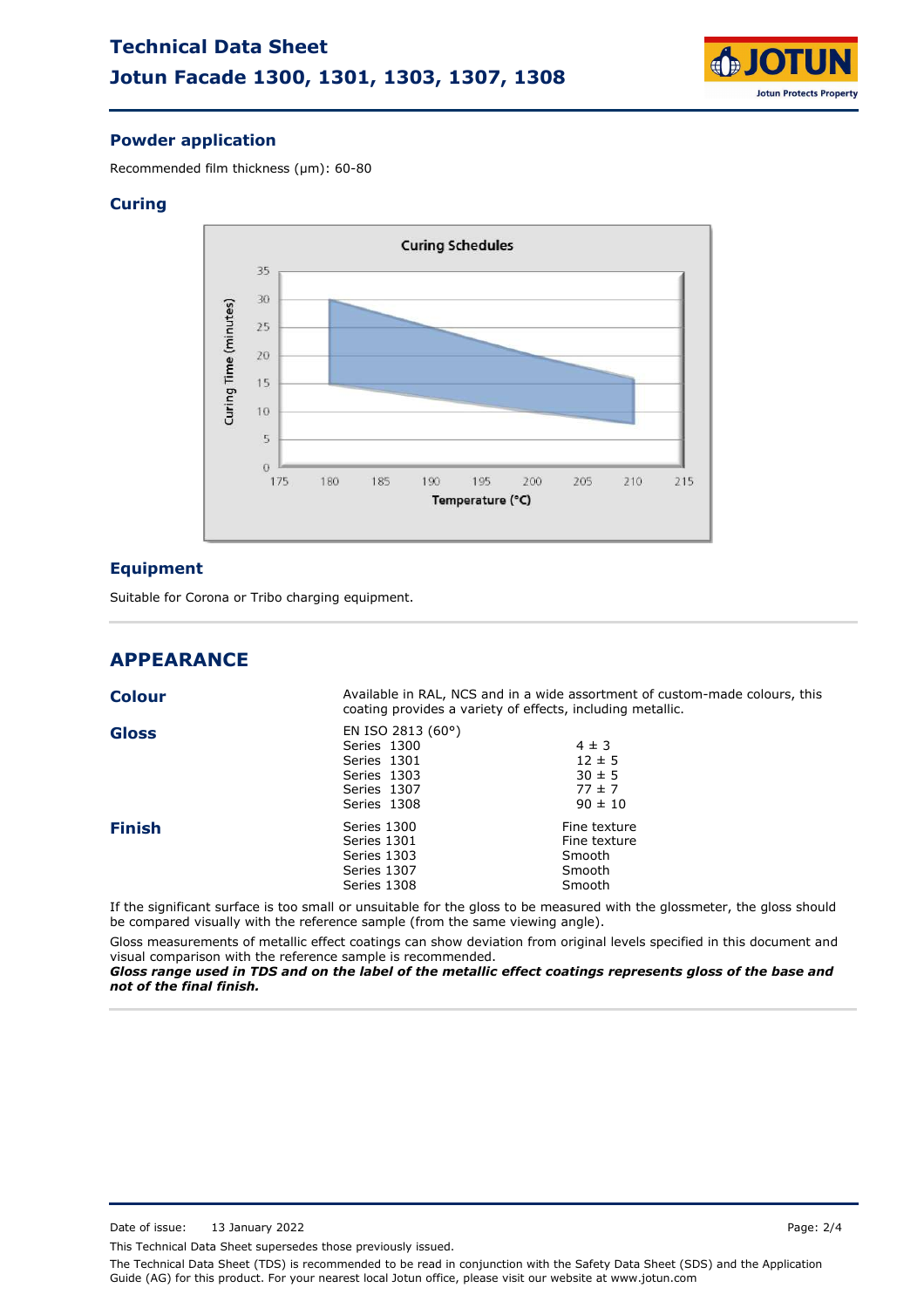# **Technical Data Sheet Jotun Facade 1300, 1301, 1303, 1307, 1308**



#### **Powder application**

Recommended film thickness (µm): 60-80

#### **Curing**



#### **Equipment**

Suitable for Corona or Tribo charging equipment.

### **APPEARANCE**

| <b>Colour</b> |                                                                                                       | Available in RAL, NCS and in a wide assortment of custom-made colours, this<br>coating provides a variety of effects, including metallic. |  |  |
|---------------|-------------------------------------------------------------------------------------------------------|-------------------------------------------------------------------------------------------------------------------------------------------|--|--|
| <b>Gloss</b>  | EN ISO 2813 $(60^{\circ})$<br>Series 1300<br>Series 1301<br>Series 1303<br>Series 1307<br>Series 1308 | $4 \pm 3$<br>$12 \pm 5$<br>$30 \pm 5$<br>$77 \pm 7$<br>$90 \pm 10$                                                                        |  |  |
| <b>Finish</b> | Series 1300<br>Series 1301<br>Series 1303<br>Series 1307<br>Series 1308                               | Fine texture<br>Fine texture<br>Smooth<br>Smooth<br>Smooth                                                                                |  |  |
|               |                                                                                                       | If the cignificant curface is too small or unsuitable for the glass to be measured with the glassmater, the glass should                  |  |  |

If the significant surface is too small or unsuitable for the gloss to be measured with the glossmeter, the gloss should be compared visually with the reference sample (from the same viewing angle).

Gloss measurements of metallic effect coatings can show deviation from original levels specified in this document and visual comparison with the reference sample is recommended.

*Gloss range used in TDS and on the label of the metallic effect coatings represents gloss of the base and not of the final finish.*

This Technical Data Sheet supersedes those previously issued.

The Technical Data Sheet (TDS) is recommended to be read in conjunction with the Safety Data Sheet (SDS) and the Application Guide (AG) for this product. For your nearest local Jotun office, please visit our website at www.jotun.com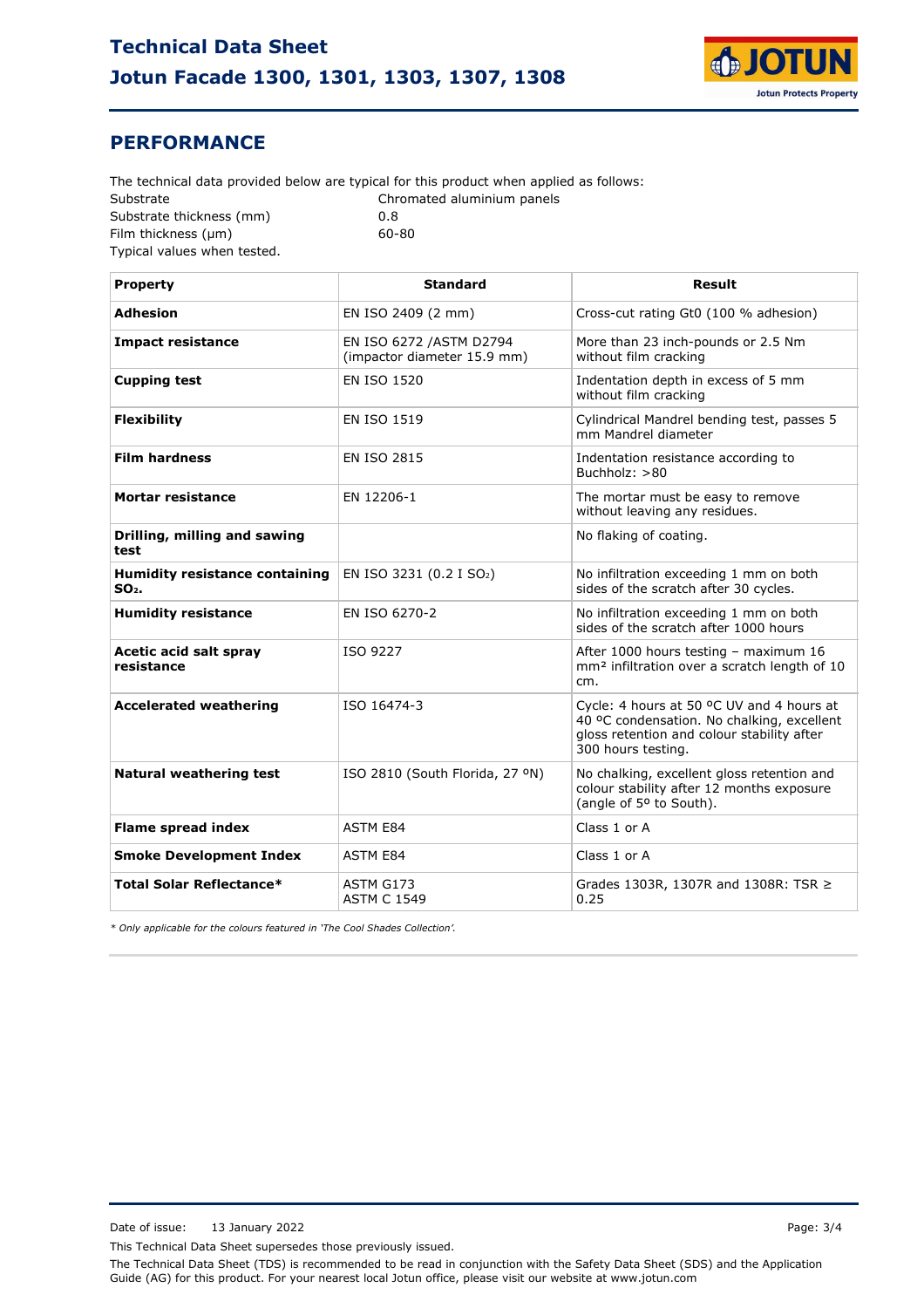

### **PERFORMANCE**

Substrate Substrate thickness (mm) Film thickness (µm) 0.8 Chromated aluminium panels Typical values when tested. The technical data provided below are typical for this product when applied as follows: 60-80

| <b>Property</b>                                            | <b>Standard</b>                                         | <b>Result</b>                                                                                                                                               |
|------------------------------------------------------------|---------------------------------------------------------|-------------------------------------------------------------------------------------------------------------------------------------------------------------|
| <b>Adhesion</b>                                            | EN ISO 2409 (2 mm)                                      | Cross-cut rating Gt0 (100 % adhesion)                                                                                                                       |
| <b>Impact resistance</b>                                   | EN ISO 6272 / ASTM D2794<br>(impactor diameter 15.9 mm) | More than 23 inch-pounds or 2.5 Nm<br>without film cracking                                                                                                 |
| <b>Cupping test</b>                                        | <b>EN ISO 1520</b>                                      | Indentation depth in excess of 5 mm<br>without film cracking                                                                                                |
| <b>Flexibility</b>                                         | <b>EN ISO 1519</b>                                      | Cylindrical Mandrel bending test, passes 5<br>mm Mandrel diameter                                                                                           |
| <b>Film hardness</b>                                       | <b>EN ISO 2815</b>                                      | Indentation resistance according to<br>Buchholz: $>80$                                                                                                      |
| Mortar resistance                                          | EN 12206-1                                              | The mortar must be easy to remove<br>without leaving any residues.                                                                                          |
| Drilling, milling and sawing<br>test                       |                                                         | No flaking of coating.                                                                                                                                      |
| <b>Humidity resistance containing</b><br>SO <sub>2</sub> . | EN ISO 3231 (0.2 I SO <sub>2</sub> )                    | No infiltration exceeding 1 mm on both<br>sides of the scratch after 30 cycles.                                                                             |
| <b>Humidity resistance</b>                                 | EN ISO 6270-2                                           | No infiltration exceeding 1 mm on both<br>sides of the scratch after 1000 hours                                                                             |
| Acetic acid salt spray<br>resistance                       | ISO 9227                                                | After 1000 hours testing - maximum 16<br>mm <sup>2</sup> infiltration over a scratch length of 10<br>cm.                                                    |
| <b>Accelerated weathering</b>                              | ISO 16474-3                                             | Cycle: 4 hours at 50 °C UV and 4 hours at<br>40 °C condensation. No chalking, excellent<br>gloss retention and colour stability after<br>300 hours testing. |
| <b>Natural weathering test</b>                             | ISO 2810 (South Florida, 27 °N)                         | No chalking, excellent gloss retention and<br>colour stability after 12 months exposure<br>(angle of 5° to South).                                          |
| <b>Flame spread index</b>                                  | <b>ASTM E84</b>                                         | Class 1 or A                                                                                                                                                |
| <b>Smoke Development Index</b>                             | <b>ASTM E84</b>                                         | Class 1 or A                                                                                                                                                |
| <b>Total Solar Reflectance*</b>                            | ASTM G173<br><b>ASTM C 1549</b>                         | Grades 1303R, 1307R and 1308R: TSR ≥<br>0.25                                                                                                                |

*\* Only applicable for the colours featured in 'The Cool Shades Collection'.*

Date of issue: 13 January 2022 2001 12:30 Page: 3/4

This Technical Data Sheet supersedes those previously issued.

The Technical Data Sheet (TDS) is recommended to be read in conjunction with the Safety Data Sheet (SDS) and the Application Guide (AG) for this product. For your nearest local Jotun office, please visit our website at www.jotun.com